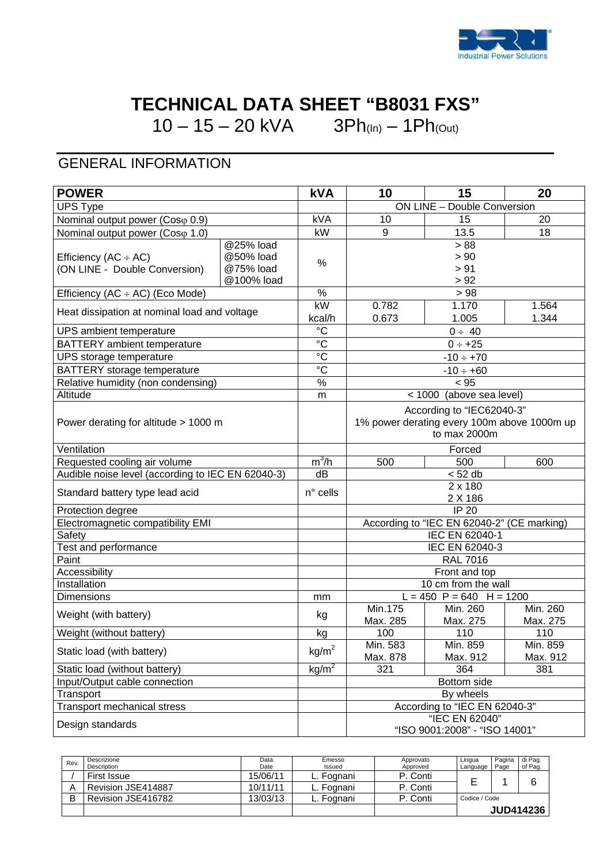

## **TECHNICAL DATA SHEET "B8031 FXS"**

10 – 15 – 20 kVA  $3Ph_{(In)} - 1Ph_{(Out)}$ 

## GENERAL INFORMATION

| <b>ON LINE - Double Conversion</b><br><b>UPS Type</b><br>kVA<br>10<br>15<br>20<br>Nominal output power (Coso 0.9)<br>kW<br>13.5<br>9<br>18<br>Nominal output power (Coso 1.0)<br>> 88<br>@25% load<br>@50% load<br>> 90<br>Efficiency (AC $\div$ AC)<br>%<br>@75% load<br>> 91<br>(ON LINE - Double Conversion)<br>@100% load<br>> 92<br>%<br>> 98<br>Efficiency (AC ÷ AC) (Eco Mode)<br>kW<br>0.782<br>1.170<br>1.564<br>Heat dissipation at nominal load and voltage<br>0.673<br>1.005<br>1.344<br>kcal/h<br>$\overline{c}$<br>UPS ambient temperature<br>$0 \div 40$<br>$\rm ^{\circ}C$<br><b>BATTERY</b> ambient temperature<br>$0 \div +25$<br>$\overline{c}$<br>$-10 \div +70$<br>UPS storage temperature<br>$\overline{c}$<br><b>BATTERY</b> storage temperature<br>$-10 \div +60$<br>%<br>Relative humidity (non condensing)<br>< 95<br>Altitude<br>< 1000 (above sea level)<br>m<br>According to "IEC62040-3"<br>1% power derating every 100m above 1000m up<br>Power derating for altitude > 1000 m<br>to $max$ 2000 $m$<br>Ventilation<br>Forced<br>$m^3/h$<br>Requested cooling air volume<br>500<br>500<br>600<br>Audible noise level (according to IEC EN 62040-3)<br>dB<br>< 52 db<br>2 x 180<br>$n^{\circ}$ cells<br>Standard battery type lead acid<br>2 X 186<br>IP 20<br>Protection degree<br>Electromagnetic compatibility EMI<br>According to "IEC EN 62040-2" (CE marking)<br>IEC EN 62040-1<br>Safety<br>Test and performance<br>IEC EN 62040-3<br><b>RAL 7016</b><br>Paint<br>Accessibility<br>Front and top<br>Installation<br>10 cm from the wall<br>$L = 450$ P = 640 H = 1200<br><b>Dimensions</b><br>mm<br>Min.175<br>Min. 260<br>Min. 260<br>Weight (with battery)<br>kg<br>Max. 275<br>Max. 275<br>Max. 285<br>Weight (without battery)<br>100<br>110<br>110<br>kg<br>Min. 583<br>Min. 859<br>Min. 859<br>kg/m <sup>2</sup><br>Static load (with battery)<br>Max. 878<br>Max. 912<br>Max. 912<br>kg/m <sup>2</sup><br>Static load (without battery)<br>321<br>364<br>381<br>Input/Output cable connection<br>Bottom side<br>By wheels<br>Transport<br><b>Transport mechanical stress</b><br>According to "IEC EN 62040-3"<br>"IEC EN 62040" | <b>POWER</b>     |  | <b>kVA</b> | 10 | 15 | 20 |  |  |
|----------------------------------------------------------------------------------------------------------------------------------------------------------------------------------------------------------------------------------------------------------------------------------------------------------------------------------------------------------------------------------------------------------------------------------------------------------------------------------------------------------------------------------------------------------------------------------------------------------------------------------------------------------------------------------------------------------------------------------------------------------------------------------------------------------------------------------------------------------------------------------------------------------------------------------------------------------------------------------------------------------------------------------------------------------------------------------------------------------------------------------------------------------------------------------------------------------------------------------------------------------------------------------------------------------------------------------------------------------------------------------------------------------------------------------------------------------------------------------------------------------------------------------------------------------------------------------------------------------------------------------------------------------------------------------------------------------------------------------------------------------------------------------------------------------------------------------------------------------------------------------------------------------------------------------------------------------------------------------------------------------------------------------------------------------------------------------------------------------------------------------------------------------------------------|------------------|--|------------|----|----|----|--|--|
|                                                                                                                                                                                                                                                                                                                                                                                                                                                                                                                                                                                                                                                                                                                                                                                                                                                                                                                                                                                                                                                                                                                                                                                                                                                                                                                                                                                                                                                                                                                                                                                                                                                                                                                                                                                                                                                                                                                                                                                                                                                                                                                                                                            |                  |  |            |    |    |    |  |  |
|                                                                                                                                                                                                                                                                                                                                                                                                                                                                                                                                                                                                                                                                                                                                                                                                                                                                                                                                                                                                                                                                                                                                                                                                                                                                                                                                                                                                                                                                                                                                                                                                                                                                                                                                                                                                                                                                                                                                                                                                                                                                                                                                                                            |                  |  |            |    |    |    |  |  |
|                                                                                                                                                                                                                                                                                                                                                                                                                                                                                                                                                                                                                                                                                                                                                                                                                                                                                                                                                                                                                                                                                                                                                                                                                                                                                                                                                                                                                                                                                                                                                                                                                                                                                                                                                                                                                                                                                                                                                                                                                                                                                                                                                                            |                  |  |            |    |    |    |  |  |
|                                                                                                                                                                                                                                                                                                                                                                                                                                                                                                                                                                                                                                                                                                                                                                                                                                                                                                                                                                                                                                                                                                                                                                                                                                                                                                                                                                                                                                                                                                                                                                                                                                                                                                                                                                                                                                                                                                                                                                                                                                                                                                                                                                            |                  |  |            |    |    |    |  |  |
|                                                                                                                                                                                                                                                                                                                                                                                                                                                                                                                                                                                                                                                                                                                                                                                                                                                                                                                                                                                                                                                                                                                                                                                                                                                                                                                                                                                                                                                                                                                                                                                                                                                                                                                                                                                                                                                                                                                                                                                                                                                                                                                                                                            |                  |  |            |    |    |    |  |  |
|                                                                                                                                                                                                                                                                                                                                                                                                                                                                                                                                                                                                                                                                                                                                                                                                                                                                                                                                                                                                                                                                                                                                                                                                                                                                                                                                                                                                                                                                                                                                                                                                                                                                                                                                                                                                                                                                                                                                                                                                                                                                                                                                                                            |                  |  |            |    |    |    |  |  |
|                                                                                                                                                                                                                                                                                                                                                                                                                                                                                                                                                                                                                                                                                                                                                                                                                                                                                                                                                                                                                                                                                                                                                                                                                                                                                                                                                                                                                                                                                                                                                                                                                                                                                                                                                                                                                                                                                                                                                                                                                                                                                                                                                                            |                  |  |            |    |    |    |  |  |
|                                                                                                                                                                                                                                                                                                                                                                                                                                                                                                                                                                                                                                                                                                                                                                                                                                                                                                                                                                                                                                                                                                                                                                                                                                                                                                                                                                                                                                                                                                                                                                                                                                                                                                                                                                                                                                                                                                                                                                                                                                                                                                                                                                            |                  |  |            |    |    |    |  |  |
|                                                                                                                                                                                                                                                                                                                                                                                                                                                                                                                                                                                                                                                                                                                                                                                                                                                                                                                                                                                                                                                                                                                                                                                                                                                                                                                                                                                                                                                                                                                                                                                                                                                                                                                                                                                                                                                                                                                                                                                                                                                                                                                                                                            |                  |  |            |    |    |    |  |  |
|                                                                                                                                                                                                                                                                                                                                                                                                                                                                                                                                                                                                                                                                                                                                                                                                                                                                                                                                                                                                                                                                                                                                                                                                                                                                                                                                                                                                                                                                                                                                                                                                                                                                                                                                                                                                                                                                                                                                                                                                                                                                                                                                                                            |                  |  |            |    |    |    |  |  |
|                                                                                                                                                                                                                                                                                                                                                                                                                                                                                                                                                                                                                                                                                                                                                                                                                                                                                                                                                                                                                                                                                                                                                                                                                                                                                                                                                                                                                                                                                                                                                                                                                                                                                                                                                                                                                                                                                                                                                                                                                                                                                                                                                                            |                  |  |            |    |    |    |  |  |
|                                                                                                                                                                                                                                                                                                                                                                                                                                                                                                                                                                                                                                                                                                                                                                                                                                                                                                                                                                                                                                                                                                                                                                                                                                                                                                                                                                                                                                                                                                                                                                                                                                                                                                                                                                                                                                                                                                                                                                                                                                                                                                                                                                            |                  |  |            |    |    |    |  |  |
|                                                                                                                                                                                                                                                                                                                                                                                                                                                                                                                                                                                                                                                                                                                                                                                                                                                                                                                                                                                                                                                                                                                                                                                                                                                                                                                                                                                                                                                                                                                                                                                                                                                                                                                                                                                                                                                                                                                                                                                                                                                                                                                                                                            |                  |  |            |    |    |    |  |  |
|                                                                                                                                                                                                                                                                                                                                                                                                                                                                                                                                                                                                                                                                                                                                                                                                                                                                                                                                                                                                                                                                                                                                                                                                                                                                                                                                                                                                                                                                                                                                                                                                                                                                                                                                                                                                                                                                                                                                                                                                                                                                                                                                                                            |                  |  |            |    |    |    |  |  |
|                                                                                                                                                                                                                                                                                                                                                                                                                                                                                                                                                                                                                                                                                                                                                                                                                                                                                                                                                                                                                                                                                                                                                                                                                                                                                                                                                                                                                                                                                                                                                                                                                                                                                                                                                                                                                                                                                                                                                                                                                                                                                                                                                                            |                  |  |            |    |    |    |  |  |
|                                                                                                                                                                                                                                                                                                                                                                                                                                                                                                                                                                                                                                                                                                                                                                                                                                                                                                                                                                                                                                                                                                                                                                                                                                                                                                                                                                                                                                                                                                                                                                                                                                                                                                                                                                                                                                                                                                                                                                                                                                                                                                                                                                            |                  |  |            |    |    |    |  |  |
|                                                                                                                                                                                                                                                                                                                                                                                                                                                                                                                                                                                                                                                                                                                                                                                                                                                                                                                                                                                                                                                                                                                                                                                                                                                                                                                                                                                                                                                                                                                                                                                                                                                                                                                                                                                                                                                                                                                                                                                                                                                                                                                                                                            |                  |  |            |    |    |    |  |  |
|                                                                                                                                                                                                                                                                                                                                                                                                                                                                                                                                                                                                                                                                                                                                                                                                                                                                                                                                                                                                                                                                                                                                                                                                                                                                                                                                                                                                                                                                                                                                                                                                                                                                                                                                                                                                                                                                                                                                                                                                                                                                                                                                                                            |                  |  |            |    |    |    |  |  |
|                                                                                                                                                                                                                                                                                                                                                                                                                                                                                                                                                                                                                                                                                                                                                                                                                                                                                                                                                                                                                                                                                                                                                                                                                                                                                                                                                                                                                                                                                                                                                                                                                                                                                                                                                                                                                                                                                                                                                                                                                                                                                                                                                                            |                  |  |            |    |    |    |  |  |
|                                                                                                                                                                                                                                                                                                                                                                                                                                                                                                                                                                                                                                                                                                                                                                                                                                                                                                                                                                                                                                                                                                                                                                                                                                                                                                                                                                                                                                                                                                                                                                                                                                                                                                                                                                                                                                                                                                                                                                                                                                                                                                                                                                            |                  |  |            |    |    |    |  |  |
|                                                                                                                                                                                                                                                                                                                                                                                                                                                                                                                                                                                                                                                                                                                                                                                                                                                                                                                                                                                                                                                                                                                                                                                                                                                                                                                                                                                                                                                                                                                                                                                                                                                                                                                                                                                                                                                                                                                                                                                                                                                                                                                                                                            |                  |  |            |    |    |    |  |  |
|                                                                                                                                                                                                                                                                                                                                                                                                                                                                                                                                                                                                                                                                                                                                                                                                                                                                                                                                                                                                                                                                                                                                                                                                                                                                                                                                                                                                                                                                                                                                                                                                                                                                                                                                                                                                                                                                                                                                                                                                                                                                                                                                                                            |                  |  |            |    |    |    |  |  |
|                                                                                                                                                                                                                                                                                                                                                                                                                                                                                                                                                                                                                                                                                                                                                                                                                                                                                                                                                                                                                                                                                                                                                                                                                                                                                                                                                                                                                                                                                                                                                                                                                                                                                                                                                                                                                                                                                                                                                                                                                                                                                                                                                                            |                  |  |            |    |    |    |  |  |
|                                                                                                                                                                                                                                                                                                                                                                                                                                                                                                                                                                                                                                                                                                                                                                                                                                                                                                                                                                                                                                                                                                                                                                                                                                                                                                                                                                                                                                                                                                                                                                                                                                                                                                                                                                                                                                                                                                                                                                                                                                                                                                                                                                            |                  |  |            |    |    |    |  |  |
|                                                                                                                                                                                                                                                                                                                                                                                                                                                                                                                                                                                                                                                                                                                                                                                                                                                                                                                                                                                                                                                                                                                                                                                                                                                                                                                                                                                                                                                                                                                                                                                                                                                                                                                                                                                                                                                                                                                                                                                                                                                                                                                                                                            |                  |  |            |    |    |    |  |  |
|                                                                                                                                                                                                                                                                                                                                                                                                                                                                                                                                                                                                                                                                                                                                                                                                                                                                                                                                                                                                                                                                                                                                                                                                                                                                                                                                                                                                                                                                                                                                                                                                                                                                                                                                                                                                                                                                                                                                                                                                                                                                                                                                                                            |                  |  |            |    |    |    |  |  |
|                                                                                                                                                                                                                                                                                                                                                                                                                                                                                                                                                                                                                                                                                                                                                                                                                                                                                                                                                                                                                                                                                                                                                                                                                                                                                                                                                                                                                                                                                                                                                                                                                                                                                                                                                                                                                                                                                                                                                                                                                                                                                                                                                                            |                  |  |            |    |    |    |  |  |
|                                                                                                                                                                                                                                                                                                                                                                                                                                                                                                                                                                                                                                                                                                                                                                                                                                                                                                                                                                                                                                                                                                                                                                                                                                                                                                                                                                                                                                                                                                                                                                                                                                                                                                                                                                                                                                                                                                                                                                                                                                                                                                                                                                            |                  |  |            |    |    |    |  |  |
|                                                                                                                                                                                                                                                                                                                                                                                                                                                                                                                                                                                                                                                                                                                                                                                                                                                                                                                                                                                                                                                                                                                                                                                                                                                                                                                                                                                                                                                                                                                                                                                                                                                                                                                                                                                                                                                                                                                                                                                                                                                                                                                                                                            |                  |  |            |    |    |    |  |  |
|                                                                                                                                                                                                                                                                                                                                                                                                                                                                                                                                                                                                                                                                                                                                                                                                                                                                                                                                                                                                                                                                                                                                                                                                                                                                                                                                                                                                                                                                                                                                                                                                                                                                                                                                                                                                                                                                                                                                                                                                                                                                                                                                                                            |                  |  |            |    |    |    |  |  |
|                                                                                                                                                                                                                                                                                                                                                                                                                                                                                                                                                                                                                                                                                                                                                                                                                                                                                                                                                                                                                                                                                                                                                                                                                                                                                                                                                                                                                                                                                                                                                                                                                                                                                                                                                                                                                                                                                                                                                                                                                                                                                                                                                                            |                  |  |            |    |    |    |  |  |
|                                                                                                                                                                                                                                                                                                                                                                                                                                                                                                                                                                                                                                                                                                                                                                                                                                                                                                                                                                                                                                                                                                                                                                                                                                                                                                                                                                                                                                                                                                                                                                                                                                                                                                                                                                                                                                                                                                                                                                                                                                                                                                                                                                            |                  |  |            |    |    |    |  |  |
|                                                                                                                                                                                                                                                                                                                                                                                                                                                                                                                                                                                                                                                                                                                                                                                                                                                                                                                                                                                                                                                                                                                                                                                                                                                                                                                                                                                                                                                                                                                                                                                                                                                                                                                                                                                                                                                                                                                                                                                                                                                                                                                                                                            |                  |  |            |    |    |    |  |  |
|                                                                                                                                                                                                                                                                                                                                                                                                                                                                                                                                                                                                                                                                                                                                                                                                                                                                                                                                                                                                                                                                                                                                                                                                                                                                                                                                                                                                                                                                                                                                                                                                                                                                                                                                                                                                                                                                                                                                                                                                                                                                                                                                                                            |                  |  |            |    |    |    |  |  |
|                                                                                                                                                                                                                                                                                                                                                                                                                                                                                                                                                                                                                                                                                                                                                                                                                                                                                                                                                                                                                                                                                                                                                                                                                                                                                                                                                                                                                                                                                                                                                                                                                                                                                                                                                                                                                                                                                                                                                                                                                                                                                                                                                                            |                  |  |            |    |    |    |  |  |
|                                                                                                                                                                                                                                                                                                                                                                                                                                                                                                                                                                                                                                                                                                                                                                                                                                                                                                                                                                                                                                                                                                                                                                                                                                                                                                                                                                                                                                                                                                                                                                                                                                                                                                                                                                                                                                                                                                                                                                                                                                                                                                                                                                            |                  |  |            |    |    |    |  |  |
|                                                                                                                                                                                                                                                                                                                                                                                                                                                                                                                                                                                                                                                                                                                                                                                                                                                                                                                                                                                                                                                                                                                                                                                                                                                                                                                                                                                                                                                                                                                                                                                                                                                                                                                                                                                                                                                                                                                                                                                                                                                                                                                                                                            |                  |  |            |    |    |    |  |  |
|                                                                                                                                                                                                                                                                                                                                                                                                                                                                                                                                                                                                                                                                                                                                                                                                                                                                                                                                                                                                                                                                                                                                                                                                                                                                                                                                                                                                                                                                                                                                                                                                                                                                                                                                                                                                                                                                                                                                                                                                                                                                                                                                                                            |                  |  |            |    |    |    |  |  |
|                                                                                                                                                                                                                                                                                                                                                                                                                                                                                                                                                                                                                                                                                                                                                                                                                                                                                                                                                                                                                                                                                                                                                                                                                                                                                                                                                                                                                                                                                                                                                                                                                                                                                                                                                                                                                                                                                                                                                                                                                                                                                                                                                                            |                  |  |            |    |    |    |  |  |
|                                                                                                                                                                                                                                                                                                                                                                                                                                                                                                                                                                                                                                                                                                                                                                                                                                                                                                                                                                                                                                                                                                                                                                                                                                                                                                                                                                                                                                                                                                                                                                                                                                                                                                                                                                                                                                                                                                                                                                                                                                                                                                                                                                            |                  |  |            |    |    |    |  |  |
| "ISO 9001:2008" - "ISO 14001"                                                                                                                                                                                                                                                                                                                                                                                                                                                                                                                                                                                                                                                                                                                                                                                                                                                                                                                                                                                                                                                                                                                                                                                                                                                                                                                                                                                                                                                                                                                                                                                                                                                                                                                                                                                                                                                                                                                                                                                                                                                                                                                                              | Design standards |  |            |    |    |    |  |  |

| Rev. | Descrizione<br>Description | Data<br>Date | Emesso<br>Issued | Approvato<br>Approved | Lingua<br>Language | Pagina<br>Page | di Pag.<br>of Pag. |
|------|----------------------------|--------------|------------------|-----------------------|--------------------|----------------|--------------------|
|      | First Issue                | 15/06/11     | L. Fognani       | P. Conti              |                    |                | ⌒                  |
|      | Revision JSE414887         | 10/11/11     | L. Fognani       | P. Conti              |                    |                |                    |
|      | Revision JSE416782         | 13/03/13     | L. Fognani       | P. Conti              | Codice / Code      |                |                    |
|      |                            |              |                  |                       |                    |                | <b>JUD414236</b>   |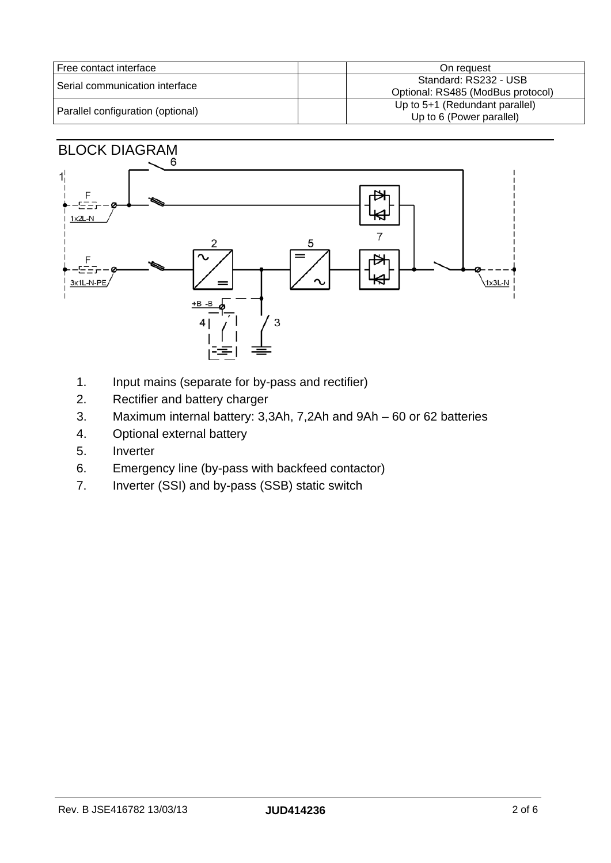| Free contact interface            | On request                                                 |
|-----------------------------------|------------------------------------------------------------|
| l Serial communication interface  | Standard: RS232 - USB<br>Optional: RS485 (ModBus protocol) |
| Parallel configuration (optional) | Up to 5+1 (Redundant parallel)<br>Up to 6 (Power parallel) |

# BLOCK DIAGRAM



- 1. Input mains (separate for by-pass and rectifier)
- 2. Rectifier and battery charger
- 3. Maximum internal battery: 3,3Ah, 7,2Ah and 9Ah 60 or 62 batteries
- 4. Optional external battery
- 5. Inverter
- 6. Emergency line (by-pass with backfeed contactor)
- 7. Inverter (SSI) and by-pass (SSB) static switch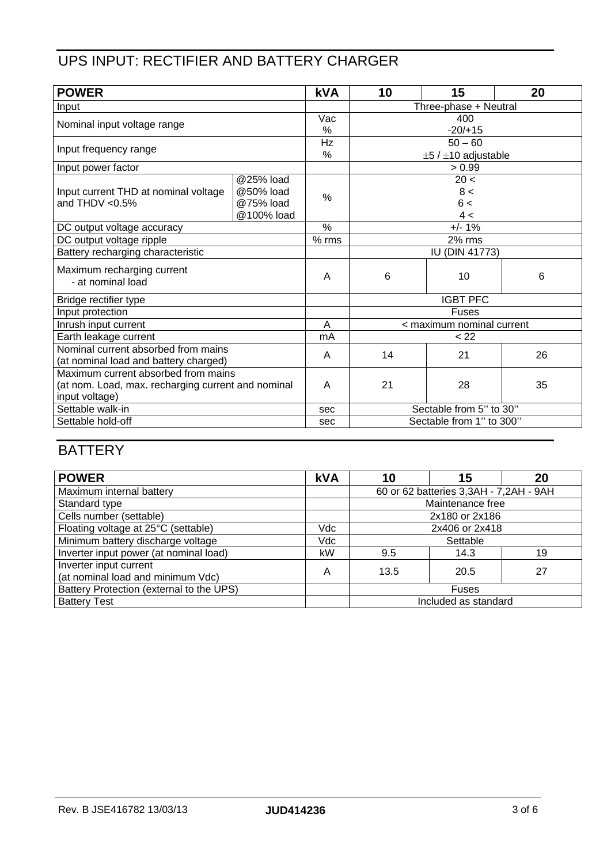#### UPS INPUT: RECTIFIER AND BATTERY CHARGER

| <b>POWER</b>                                       |            | <b>kVA</b> | 10                            | 15   | 20 |
|----------------------------------------------------|------------|------------|-------------------------------|------|----|
| Input                                              |            |            | Three-phase + Neutral         |      |    |
| Nominal input voltage range                        |            | Vac        | 400                           |      |    |
|                                                    |            | %          | $-20/+15$                     |      |    |
| Input frequency range                              |            | Hz         | $50 - 60$                     |      |    |
|                                                    |            | %          | $\pm 5$ / $\pm 10$ adjustable |      |    |
| Input power factor                                 |            |            | > 0.99                        |      |    |
|                                                    | @25% load  |            |                               | 20 < |    |
| Input current THD at nominal voltage               | @50% load  | %          |                               | 8 <  |    |
| and THDV $< 0.5\%$                                 | @75% load  |            |                               | 6<   |    |
|                                                    | @100% load |            |                               | 4<   |    |
| DC output voltage accuracy                         |            | $\%$       | $+/- 1%$                      |      |    |
| DC output voltage ripple                           |            | $%$ rms    | 2% rms                        |      |    |
| Battery recharging characteristic                  |            |            | <b>IU (DIN 41773)</b>         |      |    |
| Maximum recharging current<br>- at nominal load    |            | A          | 6                             | 10   | 6  |
| Bridge rectifier type                              |            |            | <b>IGBT PFC</b>               |      |    |
| Input protection                                   |            |            | <b>Fuses</b>                  |      |    |
| Inrush input current                               |            | A          | < maximum nominal current     |      |    |
| Earth leakage current                              |            | mA         | < 22                          |      |    |
| Nominal current absorbed from mains                |            | A          | 14                            | 21   | 26 |
| (at nominal load and battery charged)              |            |            |                               |      |    |
| Maximum current absorbed from mains                |            | A          | 21                            | 28   |    |
| (at nom. Load, max. recharging current and nominal |            |            |                               |      | 35 |
| input voltage)                                     |            |            |                               |      |    |
| Settable walk-in                                   |            | sec        | Sectable from 5" to 30"       |      |    |
| Settable hold-off                                  |            | sec        | Sectable from 1" to 300"      |      |    |

### **BATTERY**

| <b>POWER</b>                                                | <b>kVA</b> | 10                                     | 15   | 20 |
|-------------------------------------------------------------|------------|----------------------------------------|------|----|
| Maximum internal battery                                    |            | 60 or 62 batteries 3,3AH - 7,2AH - 9AH |      |    |
| Standard type                                               |            | Maintenance free                       |      |    |
| Cells number (settable)                                     |            | 2x180 or 2x186                         |      |    |
| Floating voltage at 25°C (settable)                         | Vdc        | 2x406 or 2x418                         |      |    |
| Minimum battery discharge voltage                           | Vdc        | Settable                               |      |    |
| Inverter input power (at nominal load)                      | kW         | 9.5                                    | 14.3 | 19 |
| Inverter input current<br>(at nominal load and minimum Vdc) | Α          | 13.5                                   | 20.5 | 27 |
| Battery Protection (external to the UPS)                    |            | <b>Fuses</b>                           |      |    |
| <b>Battery Test</b>                                         |            | Included as standard                   |      |    |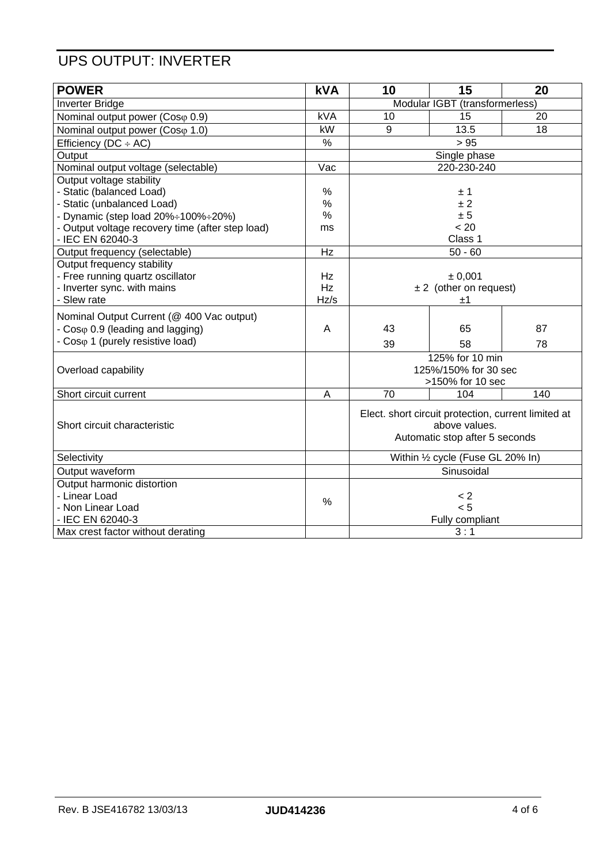#### UPS OUTPUT: INVERTER

| <b>POWER</b>                                     | <b>kVA</b>    | 10                                                                   | 15                             | 20  |
|--------------------------------------------------|---------------|----------------------------------------------------------------------|--------------------------------|-----|
| <b>Inverter Bridge</b>                           |               | Modular IGBT (transformerless)                                       |                                |     |
| Nominal output power (Coso 0.9)                  | <b>kVA</b>    | 10                                                                   | 15                             | 20  |
| Nominal output power (Coso 1.0)                  | kW            | 9                                                                    | 13.5                           | 18  |
| Efficiency ( $DC \div AC$ )                      | $\%$          |                                                                      | > 95                           |     |
| Output                                           |               |                                                                      | Single phase                   |     |
| Nominal output voltage (selectable)              | Vac           |                                                                      | 220-230-240                    |     |
| Output voltage stability                         |               |                                                                      |                                |     |
| - Static (balanced Load)                         | $\%$          |                                                                      | ±1                             |     |
| - Static (unbalanced Load)                       | $\%$          |                                                                      | ±2                             |     |
| - Dynamic (step load 20%÷100%÷20%)               | $\%$          |                                                                      | ± 5                            |     |
| - Output voltage recovery time (after step load) | ms            |                                                                      | < 20                           |     |
| - IEC EN 62040-3                                 |               |                                                                      | Class 1                        |     |
| Output frequency (selectable)                    | Hz            |                                                                      | $50 - 60$                      |     |
| Output frequency stability                       |               |                                                                      |                                |     |
| - Free running quartz oscillator                 | Hz            | ± 0,001                                                              |                                |     |
| - Inverter sync. with mains                      | Hz            |                                                                      | $\pm 2$ (other on request)     |     |
| - Slew rate                                      | Hz/s          |                                                                      | ±1                             |     |
| Nominal Output Current (@ 400 Vac output)        |               |                                                                      |                                |     |
| - Coso 0.9 (leading and lagging)                 | A             | 43                                                                   | 65                             | 87  |
| - Coso 1 (purely resistive load)                 |               | 39                                                                   | 58                             | 78  |
|                                                  |               |                                                                      | 125% for 10 min                |     |
| Overload capability                              |               |                                                                      | 125%/150% for 30 sec           |     |
|                                                  |               | >150% for 10 sec                                                     |                                |     |
| Short circuit current                            | A             | $\overline{70}$                                                      | 104                            | 140 |
|                                                  |               |                                                                      |                                |     |
| Short circuit characteristic                     |               | Elect. short circuit protection, current limited at<br>above values. |                                |     |
|                                                  |               |                                                                      | Automatic stop after 5 seconds |     |
|                                                  |               |                                                                      |                                |     |
| Selectivity                                      |               | Within 1/2 cycle (Fuse GL 20% In)                                    |                                |     |
| Output waveform                                  |               |                                                                      | Sinusoidal                     |     |
| Output harmonic distortion                       |               |                                                                      |                                |     |
| - Linear Load                                    | $\frac{0}{0}$ |                                                                      | < 2                            |     |
| - Non Linear Load                                |               |                                                                      | < 5                            |     |
| - IEC EN 62040-3                                 |               |                                                                      | Fully compliant                |     |
| Max crest factor without derating                |               |                                                                      | 3:1                            |     |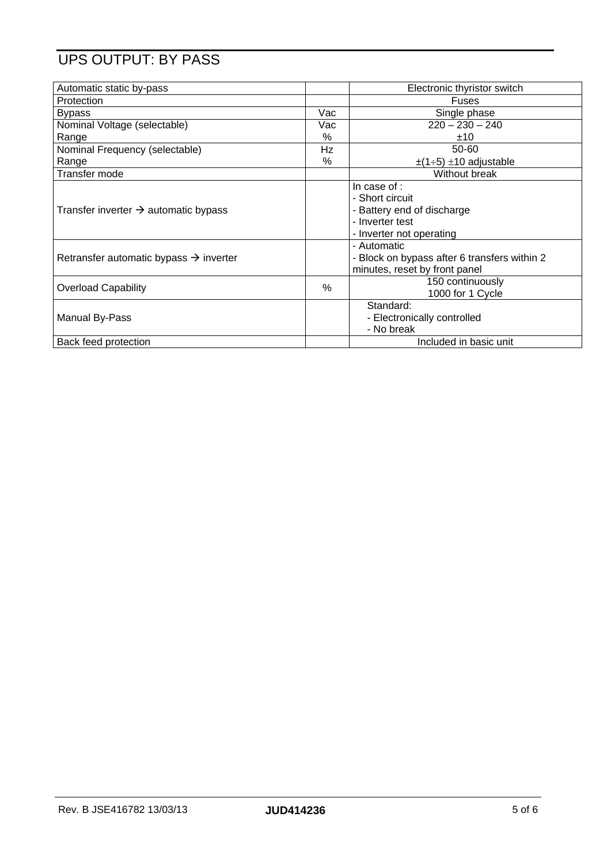### UPS OUTPUT: BY PASS

| Automatic static by-pass                           |      | Electronic thyristor switch                                                                                  |
|----------------------------------------------------|------|--------------------------------------------------------------------------------------------------------------|
| Protection                                         |      | Fuses                                                                                                        |
| <b>Bypass</b>                                      | Vac  | Single phase                                                                                                 |
| Nominal Voltage (selectable)                       | Vac  | $220 - 230 - 240$                                                                                            |
| Range                                              | %    | ±10                                                                                                          |
| Nominal Frequency (selectable)                     | Hz   | 50-60                                                                                                        |
| Range                                              | $\%$ | $\pm$ (1÷5) $\pm$ 10 adjustable                                                                              |
| Transfer mode                                      |      | Without break                                                                                                |
| Transfer inverter $\rightarrow$ automatic bypass   |      | In case of :<br>- Short circuit<br>- Battery end of discharge<br>- Inverter test<br>- Inverter not operating |
| Retransfer automatic bypass $\rightarrow$ inverter |      | - Automatic<br>- Block on bypass after 6 transfers within 2<br>minutes, reset by front panel                 |
| <b>Overload Capability</b>                         | %    | 150 continuously<br>1000 for 1 Cycle                                                                         |
| Manual By-Pass                                     |      | Standard:<br>- Electronically controlled<br>- No break                                                       |
| Back feed protection                               |      | Included in basic unit                                                                                       |